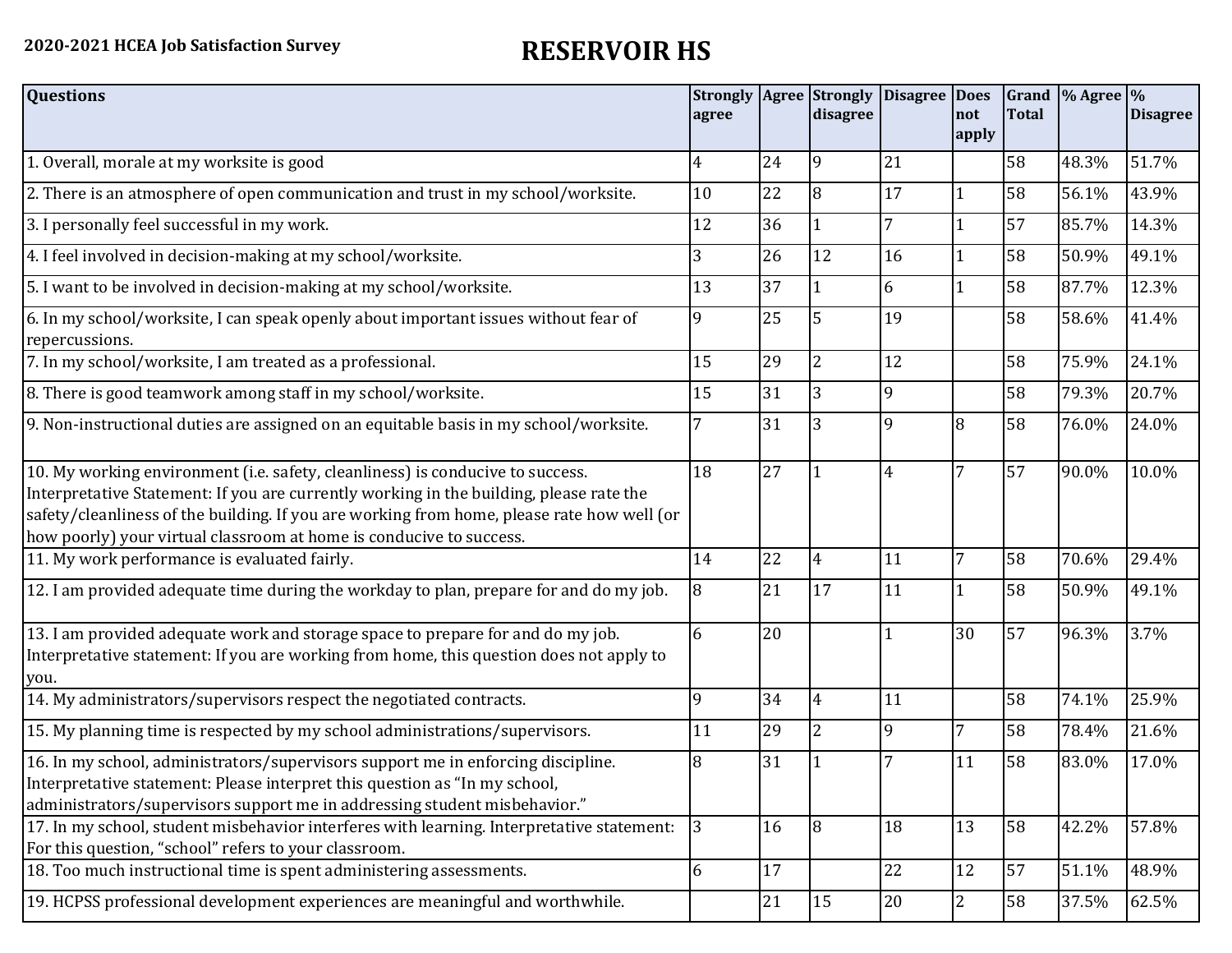| <b>Questions</b>                                                                                                                                                                                                                                                                                                                               | agree |    | <b>Strongly Agree Strongly</b><br>disagree | <b>Disagree</b> | <b>Does</b><br>not | <b>Total</b> | Grand $\frac{9}{6}$ Agree $\frac{9}{6}$ | <b>Disagree</b> |
|------------------------------------------------------------------------------------------------------------------------------------------------------------------------------------------------------------------------------------------------------------------------------------------------------------------------------------------------|-------|----|--------------------------------------------|-----------------|--------------------|--------------|-----------------------------------------|-----------------|
|                                                                                                                                                                                                                                                                                                                                                |       |    |                                            |                 | apply              |              |                                         |                 |
| 1. Overall, morale at my worksite is good                                                                                                                                                                                                                                                                                                      | 4     | 24 | <b>9</b>                                   | 21              |                    | 58           | 48.3%                                   | 51.7%           |
| 2. There is an atmosphere of open communication and trust in my school/worksite.                                                                                                                                                                                                                                                               | 10    | 22 | $\overline{8}$                             | 17              | $\mathbf{1}$       | 58           | 56.1%                                   | 43.9%           |
| 3. I personally feel successful in my work.                                                                                                                                                                                                                                                                                                    | 12    | 36 |                                            |                 | 1                  | 57           | 85.7%                                   | 14.3%           |
| 4. I feel involved in decision-making at my school/worksite.                                                                                                                                                                                                                                                                                   | 3     | 26 | 12                                         | 16              | $\mathbf{1}$       | 58           | 50.9%                                   | 49.1%           |
| 5. I want to be involved in decision-making at my school/worksite.                                                                                                                                                                                                                                                                             | 13    | 37 |                                            | 6               | $\mathbf{1}$       | 58           | 87.7%                                   | 12.3%           |
| 6. In my school/worksite, I can speak openly about important issues without fear of<br>repercussions.                                                                                                                                                                                                                                          | 9     | 25 | 5                                          | 19              |                    | 58           | 58.6%                                   | 41.4%           |
| 7. In my school/worksite, I am treated as a professional.                                                                                                                                                                                                                                                                                      | 15    | 29 | $\overline{2}$                             | 12              |                    | 58           | 75.9%                                   | 24.1%           |
| 8. There is good teamwork among staff in my school/worksite.                                                                                                                                                                                                                                                                                   | 15    | 31 | 3                                          | 9               |                    | 58           | 79.3%                                   | 20.7%           |
| 9. Non-instructional duties are assigned on an equitable basis in my school/worksite.                                                                                                                                                                                                                                                          |       | 31 | 3                                          | 9               | 8                  | 58           | 76.0%                                   | 24.0%           |
| 10. My working environment (i.e. safety, cleanliness) is conducive to success.<br>Interpretative Statement: If you are currently working in the building, please rate the<br>safety/cleanliness of the building. If you are working from home, please rate how well (or<br>how poorly) your virtual classroom at home is conducive to success. | 18    | 27 |                                            | 4               | 7                  | 57           | 90.0%                                   | 10.0%           |
| 11. My work performance is evaluated fairly.                                                                                                                                                                                                                                                                                                   | 14    | 22 | 4                                          | 11              | 7                  | 58           | 70.6%                                   | 29.4%           |
| 12. I am provided adequate time during the workday to plan, prepare for and do my job.                                                                                                                                                                                                                                                         | 8     | 21 | 17                                         | 11              | 1                  | 58           | 50.9%                                   | 49.1%           |
| 13. I am provided adequate work and storage space to prepare for and do my job.<br>Interpretative statement: If you are working from home, this question does not apply to<br>you.                                                                                                                                                             | 6     | 20 |                                            |                 | 30                 | 57           | 96.3%                                   | 3.7%            |
| 14. My administrators/supervisors respect the negotiated contracts.                                                                                                                                                                                                                                                                            | 9     | 34 | 4                                          | 11              |                    | 58           | 74.1%                                   | 25.9%           |
| 15. My planning time is respected by my school administrations/supervisors.                                                                                                                                                                                                                                                                    | 11    | 29 | $\overline{2}$                             | 9               | 7                  | 58           | 78.4%                                   | 21.6%           |
| 16. In my school, administrators/supervisors support me in enforcing discipline.<br>Interpretative statement: Please interpret this question as "In my school,<br>administrators/supervisors support me in addressing student misbehavior."                                                                                                    | 8     | 31 |                                            |                 | 11                 | 58           | 83.0%                                   | 17.0%           |
| 17. In my school, student misbehavior interferes with learning. Interpretative statement:<br>For this question, "school" refers to your classroom.                                                                                                                                                                                             | 3     | 16 | 18                                         | 18              | 13                 | 58           | 42.2%                                   | 57.8%           |
| 18. Too much instructional time is spent administering assessments.                                                                                                                                                                                                                                                                            | 6     | 17 |                                            | 22              | 12                 | 57           | 51.1%                                   | 48.9%           |
| 19. HCPSS professional development experiences are meaningful and worthwhile.                                                                                                                                                                                                                                                                  |       | 21 | 15                                         | 20              | $\overline{2}$     | 58           | 37.5%                                   | 62.5%           |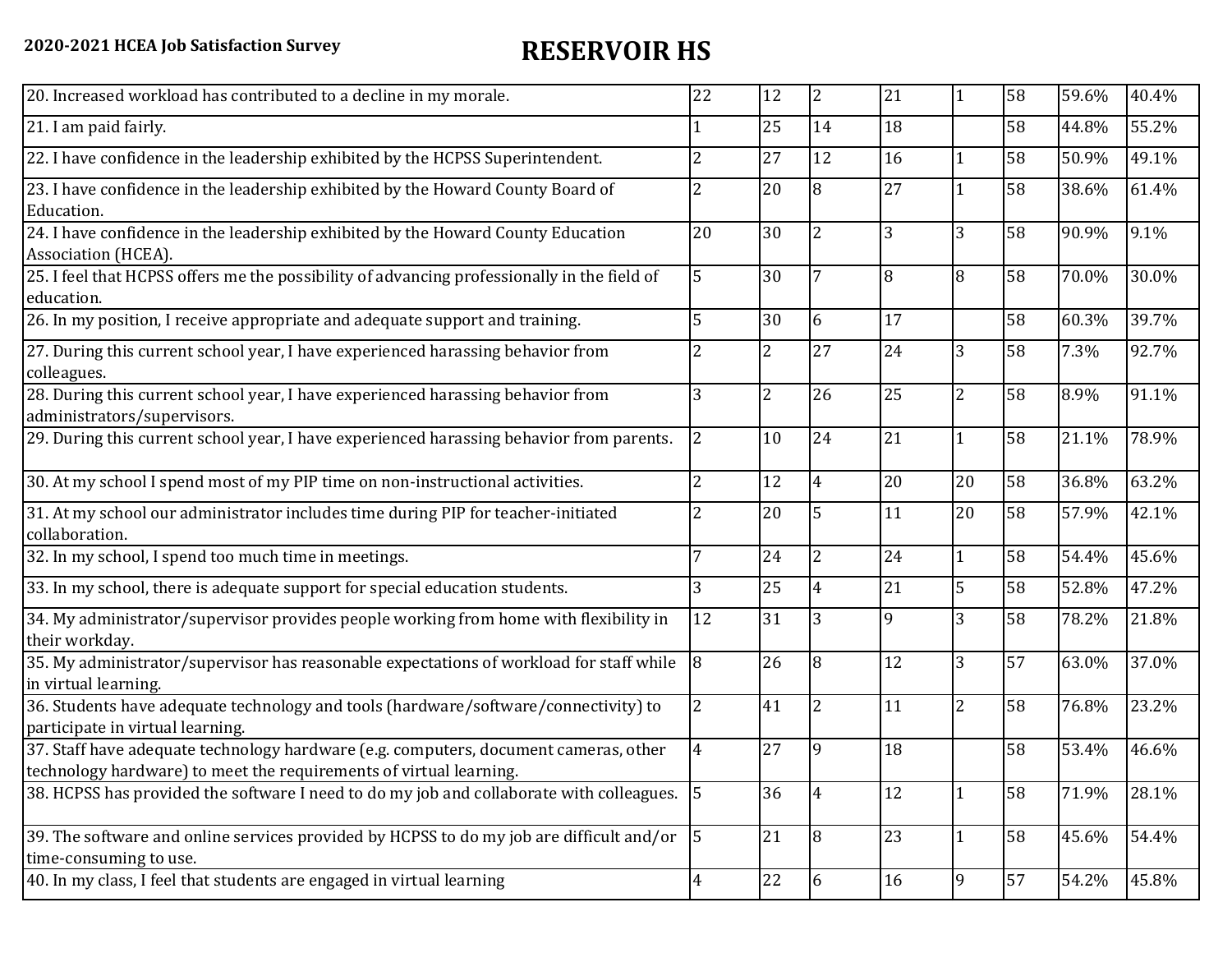| 20. Increased workload has contributed to a decline in my morale.                                                                                          | 22                       | 12             | $\overline{2}$ | 21 | $\mathbf{1}$   | 58 | 59.6% | 40.4% |
|------------------------------------------------------------------------------------------------------------------------------------------------------------|--------------------------|----------------|----------------|----|----------------|----|-------|-------|
| 21. I am paid fairly.                                                                                                                                      |                          | 25             | 14             | 18 |                | 58 | 44.8% | 55.2% |
| 22. I have confidence in the leadership exhibited by the HCPSS Superintendent.                                                                             | 2                        | 27             | 12             | 16 |                | 58 | 50.9% | 49.1% |
| 23. I have confidence in the leadership exhibited by the Howard County Board of<br>Education.                                                              | 2                        | 20             | 8              | 27 |                | 58 | 38.6% | 61.4% |
| 24. I have confidence in the leadership exhibited by the Howard County Education<br>Association (HCEA).                                                    | 20                       | 30             | $\overline{2}$ | 3  | 3              | 58 | 90.9% | 9.1%  |
| 25. I feel that HCPSS offers me the possibility of advancing professionally in the field of<br>education.                                                  | 5                        | 30             |                | 8  | 8              | 58 | 70.0% | 30.0% |
| 26. In my position, I receive appropriate and adequate support and training.                                                                               | 5                        | 30             | 6              | 17 |                | 58 | 60.3% | 39.7% |
| 27. During this current school year, I have experienced harassing behavior from<br>colleagues.                                                             | $\overline{\mathcal{L}}$ | $\overline{2}$ | 27             | 24 | 3              | 58 | 7.3%  | 92.7% |
| 28. During this current school year, I have experienced harassing behavior from<br>administrators/supervisors.                                             | 3                        | $\overline{2}$ | 26             | 25 | $\overline{2}$ | 58 | 8.9%  | 91.1% |
| 29. During this current school year, I have experienced harassing behavior from parents.                                                                   | $\overline{2}$           | 10             | 24             | 21 |                | 58 | 21.1% | 78.9% |
| 30. At my school I spend most of my PIP time on non-instructional activities.                                                                              | $\overline{2}$           | 12             | 4              | 20 | 20             | 58 | 36.8% | 63.2% |
| 31. At my school our administrator includes time during PIP for teacher-initiated<br>collaboration.                                                        | 2                        | 20             | 5              | 11 | 20             | 58 | 57.9% | 42.1% |
| 32. In my school, I spend too much time in meetings.                                                                                                       | 7                        | 24             | $\overline{2}$ | 24 | 1              | 58 | 54.4% | 45.6% |
| 33. In my school, there is adequate support for special education students.                                                                                | 3                        | 25             |                | 21 | 5              | 58 | 52.8% | 47.2% |
| 34. My administrator/supervisor provides people working from home with flexibility in<br>their workday.                                                    | 12                       | 31             | 3              | 9  | 3              | 58 | 78.2% | 21.8% |
| 35. My administrator/supervisor has reasonable expectations of workload for staff while<br>in virtual learning.                                            | 8                        | 26             | 8              | 12 | 3              | 57 | 63.0% | 37.0% |
| 36. Students have adequate technology and tools (hardware/software/connectivity) to<br>participate in virtual learning.                                    | $\overline{2}$           | 41             | $\overline{2}$ | 11 | $\overline{2}$ | 58 | 76.8% | 23.2% |
| 37. Staff have adequate technology hardware (e.g. computers, document cameras, other<br>technology hardware) to meet the requirements of virtual learning. | $\overline{4}$           | 27             | 19             | 18 |                | 58 | 53.4% | 46.6% |
| 38. HCPSS has provided the software I need to do my job and collaborate with colleagues.                                                                   | $\vert$ 5                | 36             | 4              | 12 | 1              | 58 | 71.9% | 28.1% |
| 39. The software and online services provided by HCPSS to do my job are difficult and/or $\vert$ 5<br>time-consuming to use.                               |                          | 21             | 8              | 23 | $\mathbf{1}$   | 58 | 45.6% | 54.4% |
| 40. In my class, I feel that students are engaged in virtual learning                                                                                      | $\overline{4}$           | 22             | 6              | 16 | 9              | 57 | 54.2% | 45.8% |